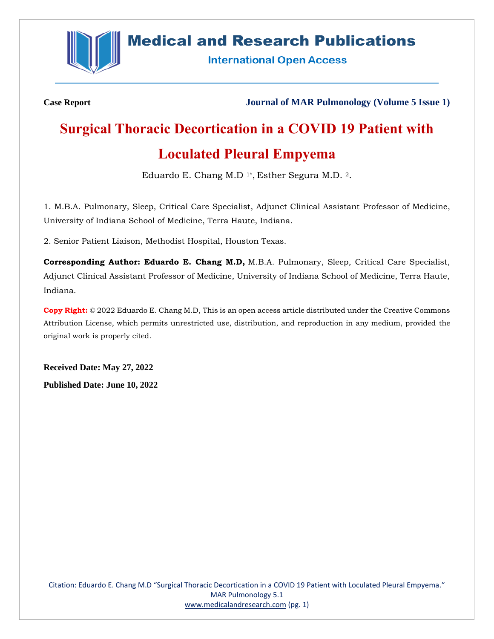

# **Medical and Research Publications**

**International Open Access** 

**Case Report Journal of MAR Pulmonology (Volume 5 Issue 1)**

# **Surgical Thoracic Decortication in a COVID 19 Patient with Loculated Pleural Empyema**

Eduardo E. Chang M.D 1\*, Esther Segura M.D. 2.

1. M.B.A. Pulmonary, Sleep, Critical Care Specialist, Adjunct Clinical Assistant Professor of Medicine, University of Indiana School of Medicine, Terra Haute, Indiana.

2. Senior Patient Liaison, Methodist Hospital, Houston Texas.

**Corresponding Author: Eduardo E. Chang M.D,** M.B.A. Pulmonary, Sleep, Critical Care Specialist, Adjunct Clinical Assistant Professor of Medicine, University of Indiana School of Medicine, Terra Haute, Indiana.

**Copy Right:** © 2022 Eduardo E. Chang M.D, This is an open access article distributed under the Creative Commons Attribution License, which permits unrestricted use, distribution, and reproduction in any medium, provided the original work is properly cited.

**Received Date: May 27, 2022 Published Date: June 10, 2022**

Citation: Eduardo E. Chang M.D "Surgical Thoracic Decortication in a COVID 19 Patient with Loculated Pleural Empyema." MAR Pulmonology 5.1 [www.medicalandresearch.com](http://www.medicalandresearch.com/) (pg. 1)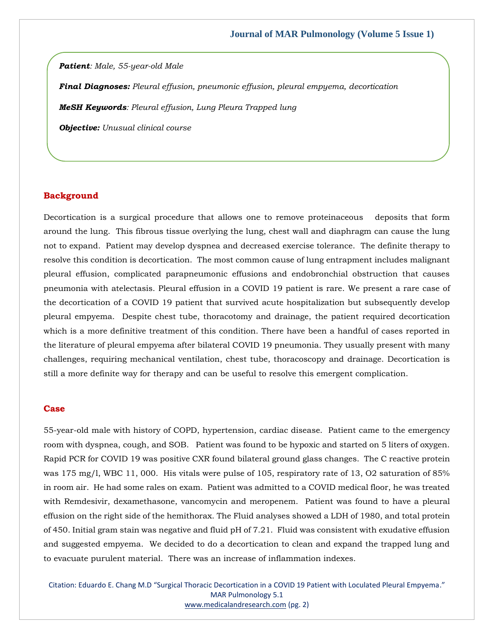*Patient: Male, 55-year-old Male*

*Final Diagnoses: Pleural effusion, pneumonic effusion, pleural empyema, decortication* 

*MeSH Keywords: Pleural effusion, Lung Pleura Trapped lung*

*Objective: Unusual clinical course* 

#### **Background**

Decortication is a surgical procedure that allows one to remove proteinaceous deposits that form around the lung. This fibrous tissue overlying the lung, chest wall and diaphragm can cause the lung not to expand. Patient may develop dyspnea and decreased exercise tolerance. The definite therapy to resolve this condition is decortication. The most common cause of lung entrapment includes malignant pleural effusion, complicated parapneumonic effusions and endobronchial obstruction that causes pneumonia with atelectasis. Pleural effusion in a COVID 19 patient is rare. We present a rare case of the decortication of a COVID 19 patient that survived acute hospitalization but subsequently develop pleural empyema. Despite chest tube, thoracotomy and drainage, the patient required decortication which is a more definitive treatment of this condition. There have been a handful of cases reported in the literature of pleural empyema after bilateral COVID 19 pneumonia. They usually present with many challenges, requiring mechanical ventilation, chest tube, thoracoscopy and drainage. Decortication is still a more definite way for therapy and can be useful to resolve this emergent complication.

#### **Case**

55-year-old male with history of COPD, hypertension, cardiac disease. Patient came to the emergency room with dyspnea, cough, and SOB. Patient was found to be hypoxic and started on 5 liters of oxygen. Rapid PCR for COVID 19 was positive CXR found bilateral ground glass changes. The C reactive protein was 175 mg/l, WBC 11, 000. His vitals were pulse of 105, respiratory rate of 13, O2 saturation of 85% in room air. He had some rales on exam. Patient was admitted to a COVID medical floor, he was treated with Remdesivir, dexamethasone, vancomycin and meropenem. Patient was found to have a pleural effusion on the right side of the hemithorax. The Fluid analyses showed a LDH of 1980, and total protein of 450. Initial gram stain was negative and fluid pH of 7.21. Fluid was consistent with exudative effusion and suggested empyema. We decided to do a decortication to clean and expand the trapped lung and to evacuate purulent material. There was an increase of inflammation indexes.

Citation: Eduardo E. Chang M.D "Surgical Thoracic Decortication in a COVID 19 Patient with Loculated Pleural Empyema." MAR Pulmonology 5.1 [www.medicalandresearch.com](http://www.medicalandresearch.com/) (pg. 2)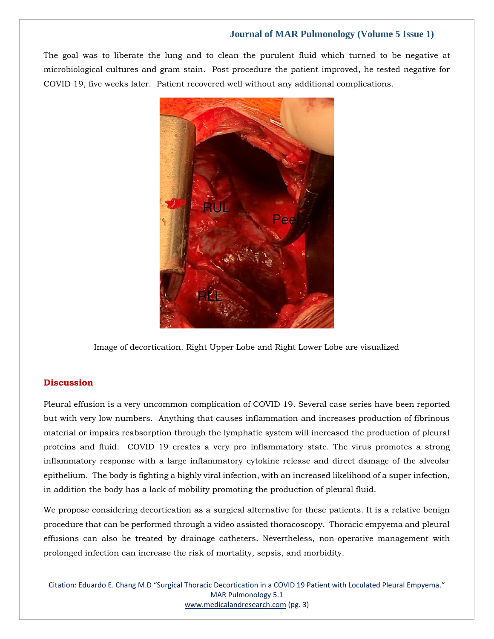## **Journal of MAR Pulmonology (Volume 5 Issue 1)**

The goal was to liberate the lung and to clean the purulent fluid which turned to be negative at microbiological cultures and gram stain. Post procedure the patient improved, he tested negative for COVID 19, five weeks later. Patient recovered well without any additional complications.



Image of decortication. Right Upper Lobe and Right Lower Lobe are visualized

### **Discussion**

Pleural effusion is a very uncommon complication of COVID 19. Several case series have been reported but with very low numbers. Anything that causes inflammation and increases production of fibrinous material or impairs reabsorption through the lymphatic system will increased the production of pleural proteins and fluid. COVID 19 creates a very pro inflammatory state. The virus promotes a strong inflammatory response with a large inflammatory cytokine release and direct damage of the alveolar epithelium. The body is fighting a highly viral infection, with an increased likelihood of a super infection, in addition the body has a lack of mobility promoting the production of pleural fluid.

We propose considering decortication as a surgical alternative for these patients. It is a relative benign procedure that can be performed through a video assisted thoracoscopy. Thoracic empyema and pleural effusions can also be treated by drainage catheters. Nevertheless, non-operative management with prolonged infection can increase the risk of mortality, sepsis, and morbidity.

Citation: Eduardo E. Chang M.D "Surgical Thoracic Decortication in a COVID 19 Patient with Loculated Pleural Empyema." MAR Pulmonology 5.1 [www.medicalandresearch.com](http://www.medicalandresearch.com/) (pg. 3)